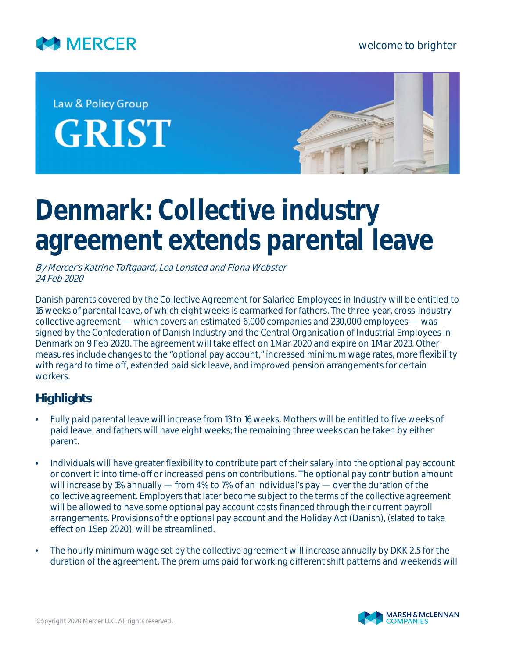

welcome to brighter

## Law & Policy Group **GRIST**



## **Denmark: Collective industry agreement extends parental leave**

By Mercer's Katrine Toftgaard, Lea Lonsted and Fiona Webster 24 Feb 2020

Danish parents covered by the [Collective Agreement for Salaried Employees in Industry](https://www.danskindustri.dk/ok2020/nyhedsarkiv/nyhedsarkiv/2020/2/three-year-collective-agreement-for-industry-focus-on-security-flexibility-and-retaining-competitive-strength/) will be entitled to 16 weeks of parental leave, of which eight weeks is earmarked for fathers. The three-year, cross-industry collective agreement — which covers an estimated 6,000 companies and 230,000 employees — was signed by the Confederation of Danish Industry and the Central Organisation of Industrial Employees in Denmark on 9 Feb 2020. The agreement will take effect on 1 Mar 2020 and expire on 1 Mar 2023. Other measures include changes to the "optional pay account," increased minimum wage rates, more flexibility with regard to time off, extended paid sick leave, and improved pension arrangements for certain workers.

## **Highlights**

- Fully paid parental leave will increase from 13 to 16 weeks. Mothers will be entitled to five weeks of paid leave, and fathers will have eight weeks; the remaining three weeks can be taken by either parent.
- Individuals will have greater flexibility to contribute part of their salary into the optional pay account or convert it into time-off or increased pension contributions. The optional pay contribution amount will increase by 1% annually — from 4% to 7% of an individual's pay — over the duration of the collective agreement. Employers that later become subject to the terms of the collective agreement will be allowed to have some optional pay account costs financed through their current payroll arrangements. Provisions of the optional pay account and the **Holiday Act** (Danish), (slated to take effect on 1 Sep 2020), will be streamlined.
- The hourly minimum wage set by the collective agreement will increase annually by DKK 2.5 for the duration of the agreement. The premiums paid for working different shift patterns and weekends will